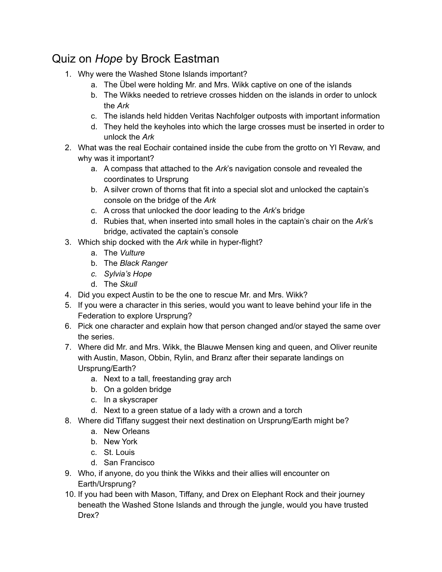## Quiz on *Hope* by Brock Eastman

- 1. Why were the Washed Stone Islands important?
	- a. The Übel were holding Mr. and Mrs. Wikk captive on one of the islands
	- b. The Wikks needed to retrieve crosses hidden on the islands in order to unlock the *Ark*
	- c. The islands held hidden Veritas Nachfolger outposts with important information
	- d. They held the keyholes into which the large crosses must be inserted in order to unlock the *Ark*
- 2. What was the real Eochair contained inside the cube from the grotto on Yl Revaw, and why was it important?
	- a. A compass that attached to the *Ark*'s navigation console and revealed the coordinates to Ursprung
	- b. A silver crown of thorns that fit into a special slot and unlocked the captain's console on the bridge of the *Ark*
	- c. A cross that unlocked the door leading to the *Ark*'s bridge
	- d. Rubies that, when inserted into small holes in the captain's chair on the *Ark*'s bridge, activated the captain's console
- 3. Which ship docked with the *Ark* while in hyper-flight?
	- a. The *Vulture*
	- b. The *Black Ranger*
	- *c. Sylvia's Hope*
	- d. The *Skull*
- 4. Did you expect Austin to be the one to rescue Mr. and Mrs. Wikk?
- 5. If you were a character in this series, would you want to leave behind your life in the Federation to explore Ursprung?
- 6. Pick one character and explain how that person changed and/or stayed the same over the series.
- 7. Where did Mr. and Mrs. Wikk, the Blauwe Mensen king and queen, and Oliver reunite with Austin, Mason, Obbin, Rylin, and Branz after their separate landings on Ursprung/Earth?
	- a. Next to a tall, freestanding gray arch
	- b. On a golden bridge
	- c. In a skyscraper
	- d. Next to a green statue of a lady with a crown and a torch
- 8. Where did Tiffany suggest their next destination on Ursprung/Earth might be?
	- a. New Orleans
	- b. New York
	- c. St. Louis
	- d. San Francisco
- 9. Who, if anyone, do you think the Wikks and their allies will encounter on Earth/Ursprung?
- 10. If you had been with Mason, Tiffany, and Drex on Elephant Rock and their journey beneath the Washed Stone Islands and through the jungle, would you have trusted Drex?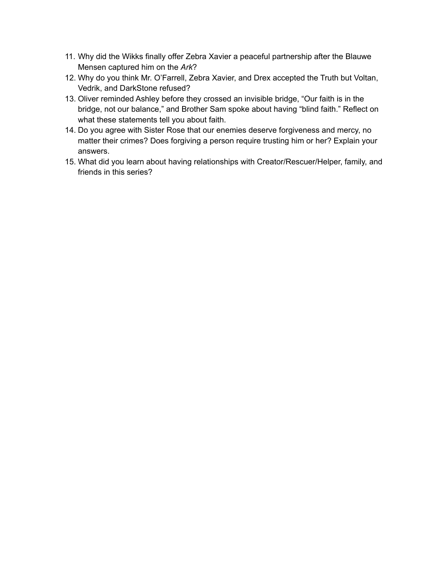- 11. Why did the Wikks finally offer Zebra Xavier a peaceful partnership after the Blauwe Mensen captured him on the *Ark*?
- 12. Why do you think Mr. O'Farrell, Zebra Xavier, and Drex accepted the Truth but Voltan, Vedrik, and DarkStone refused?
- 13. Oliver reminded Ashley before they crossed an invisible bridge, "Our faith is in the bridge, not our balance," and Brother Sam spoke about having "blind faith." Reflect on what these statements tell you about faith.
- 14. Do you agree with Sister Rose that our enemies deserve forgiveness and mercy, no matter their crimes? Does forgiving a person require trusting him or her? Explain your answers.
- 15. What did you learn about having relationships with Creator/Rescuer/Helper, family, and friends in this series?